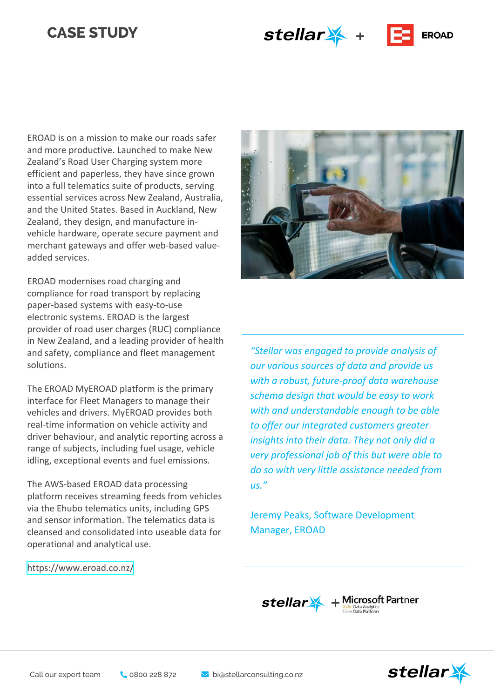# **CASE STUDY**

stellar \* +



EROAD is on a mission to make our roads safer and more productive. Launched to make New Zealand's Road User Charging system more efficient and paperless, they have since grown into a full telematics suite of products, serving essential services across New Zealand, Australia, and the United States. Based in Auckland, New Zealand, they design, and manufacture invehicle hardware, operate secure payment and merchant gateways and offer web-based valueadded services.

EROAD modernises road charging and compliance for road transport by replacing paper-based systems with easy-to-use electronic systems. EROAD is the largest provider of road user charges (RUC) compliance in New Zealand, and a leading provider of health and safety, compliance and fleet management solutions.

The EROAD MyEROAD platform is the primary interface for Fleet Managers to manage their vehicles and drivers. MyEROAD provides both real-time information on vehicle activity and driver behaviour, and analytic reporting across a range of subjects, including fuel usage, vehicle idling, exceptional events and fuel emissions.

The AWS-based EROAD data processing platform receives streaming feeds from vehicles via the Ehubo telematics units, including GPS and sensor information. The telematics data is cleansed and consolidated into useable data for operational and analytical use.



*"Stellar was engaged to provide analysis of our various sources of data and provide us with a robust, future-proof data warehouse schema design that would be easy to work with and understandable enough to be able to offer our integrated customers greater insights into their data. They not only did a very professional job of this but were able to do so with very little assistance needed from us."*

Jeremy Peaks, Software Development Manager, EROAD

[https://www.eroad.co.nz/](https://www.ojifs.com/)